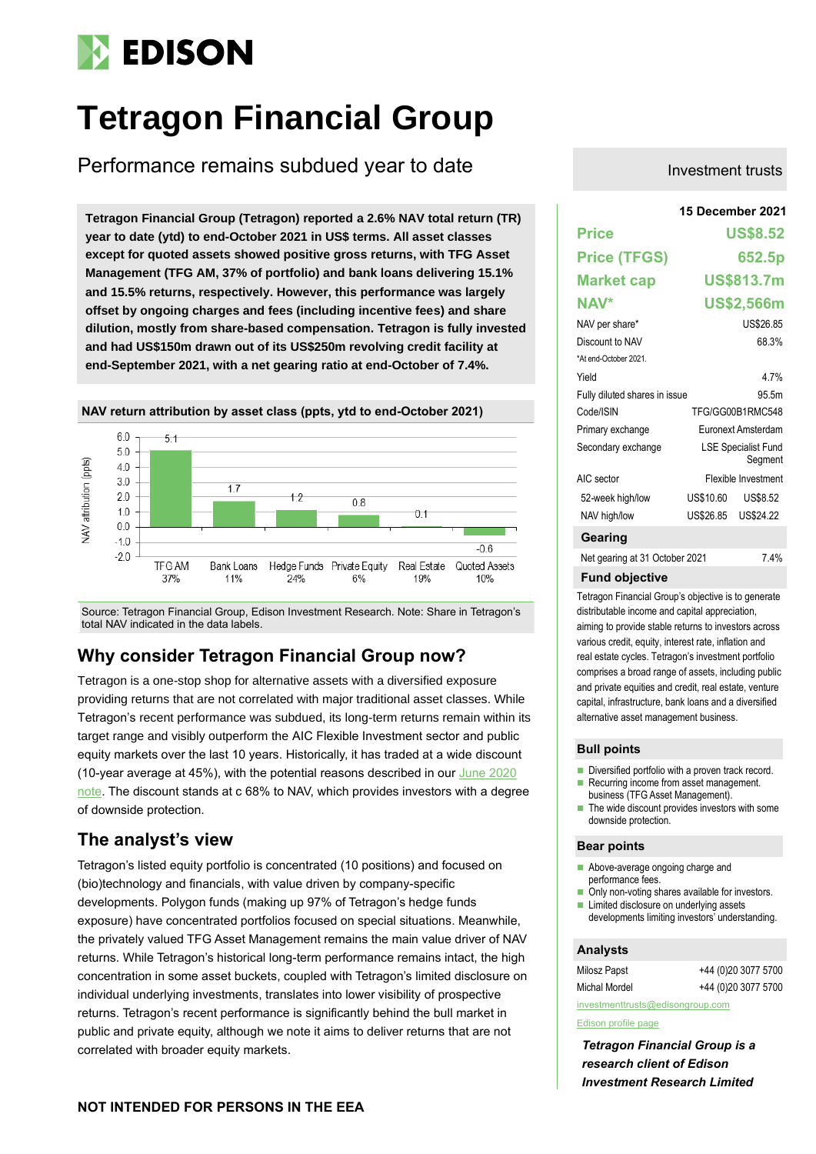# **EDISON**

# **Tetragon Financial Group**

Performance remains subdued year to date

**15 December 2021 Tetragon Financial Group (Tetragon) reported a 2.6% NAV total return (TR) year to date (ytd) to end-October 2021 in US\$ terms. All asset classes except for quoted assets showed positive gross returns, with TFG Asset Management (TFG AM, 37% of portfolio) and bank loans delivering 15.1% and 15.5% returns, respectively. However, this performance was largely offset by ongoing charges and fees (including incentive fees) and share dilution, mostly from share-based compensation. Tetragon is fully invested and had US\$150m drawn out of its US\$250m revolving credit facility at end-September 2021, with a net gearing ratio at end-October of 7.4%.**



Source: Tetragon Financial Group, Edison Investment Research. Note: Share in Tetragon's total NAV indicated in the data labels.

# **Why consider Tetragon Financial Group now?**

Tetragon is a one-stop shop for alternative assets with a diversified exposure providing returns that are not correlated with major traditional asset classes. While Tetragon's recent performance was subdued, its long-term returns remain within its target range and visibly outperform the AIC Flexible Investment sector and public equity markets over the last 10 years. Historically, it has traded at a wide discount (10-year average at 45%), with the potential reasons described in our [June 2020](https://www.edisongroup.com/publication/discount-above-peers-despite-solid-performance/26978/)  [note.](https://www.edisongroup.com/publication/discount-above-peers-despite-solid-performance/26978/) The discount stands at c 68% to NAV, which provides investors with a degree of downside protection.

# **The analyst's view**

Tetragon's listed equity portfolio is concentrated (10 positions) and focused on (bio)technology and financials, with value driven by company-specific developments. Polygon funds (making up 97% of Tetragon's hedge funds exposure) have concentrated portfolios focused on special situations. Meanwhile, the privately valued TFG Asset Management remains the main value driver of NAV returns. While Tetragon's historical long-term performance remains intact, the high concentration in some asset buckets, coupled with Tetragon's limited disclosure on individual underlying investments, translates into lower visibility of prospective returns. Tetragon's recent performance is significantly behind the bull market in public and private equity, although we note it aims to deliver returns that are not correlated with broader equity markets.

## Investment trusts

|                                | 15 December 2021                      |                     |  |  |  |  |
|--------------------------------|---------------------------------------|---------------------|--|--|--|--|
| <b>Price</b>                   |                                       | <b>US\$8.52</b>     |  |  |  |  |
| <b>Price (TFGS)</b>            |                                       | 652.5p              |  |  |  |  |
| <b>Market cap</b>              |                                       | US\$813.7m          |  |  |  |  |
| NAV*                           |                                       | US\$2,566m          |  |  |  |  |
| NAV per share*                 |                                       | US\$26.85           |  |  |  |  |
| Discount to NAV                |                                       | 68.3%               |  |  |  |  |
| *At end-October 2021.          |                                       |                     |  |  |  |  |
| Yield                          |                                       | 4 7%                |  |  |  |  |
| Fully diluted shares in issue  |                                       | 95.5m               |  |  |  |  |
| Code/ISIN                      | TFG/GG00B1RMC548                      |                     |  |  |  |  |
| Primary exchange               | Euronext Amsterdam                    |                     |  |  |  |  |
| Secondary exchange             | <b>LSE Specialist Fund</b><br>Segment |                     |  |  |  |  |
| AIC sector                     | Flexible Investment                   |                     |  |  |  |  |
| 52-week high/low               | US\$10.60                             | US\$8.52            |  |  |  |  |
| NAV high/low                   |                                       | US\$26.85 US\$24.22 |  |  |  |  |
| Gearing                        |                                       |                     |  |  |  |  |
| Net gearing at 31 October 2021 |                                       | 7.4%                |  |  |  |  |
| <b>Fund objective</b>          |                                       |                     |  |  |  |  |

Tetragon Financial Group's objective is to generate distributable income and capital appreciation, aiming to provide stable returns to investors across various credit, equity, interest rate, inflation and real estate cycles. Tetragon's investment portfolio comprises a broad range of assets, including public and private equities and credit, real estate, venture capital, infrastructure, bank loans and a diversified alternative asset management business.

### **Bull points**

- Diversified portfolio with a proven track record.
- Recurring income from asset management. business (TFG Asset Management).
- The wide discount provides investors with some downside protection.

### **Bear points**

- Above-average ongoing charge and performance fees.
- Only non-voting shares available for investors.
- $\blacksquare$  Limited disclosure on underlying assets developments limiting investors' understanding.

### **Analysts**

| Milosz Papst                     | +44 (0)20 3077 5700 |  |  |  |  |  |
|----------------------------------|---------------------|--|--|--|--|--|
| <b>Michal Mordel</b>             | +44 (0)20 3077 5700 |  |  |  |  |  |
| investmenttrusts@edisongroup.com |                     |  |  |  |  |  |

### [Edison profile page](https://www.edisongroup.com/company/tetragon-financial-group/2464/)

*Tetragon Financial Group is a research client of Edison Investment Research Limited*

## **NOT INTENDED FOR PERSONS IN THE EEA**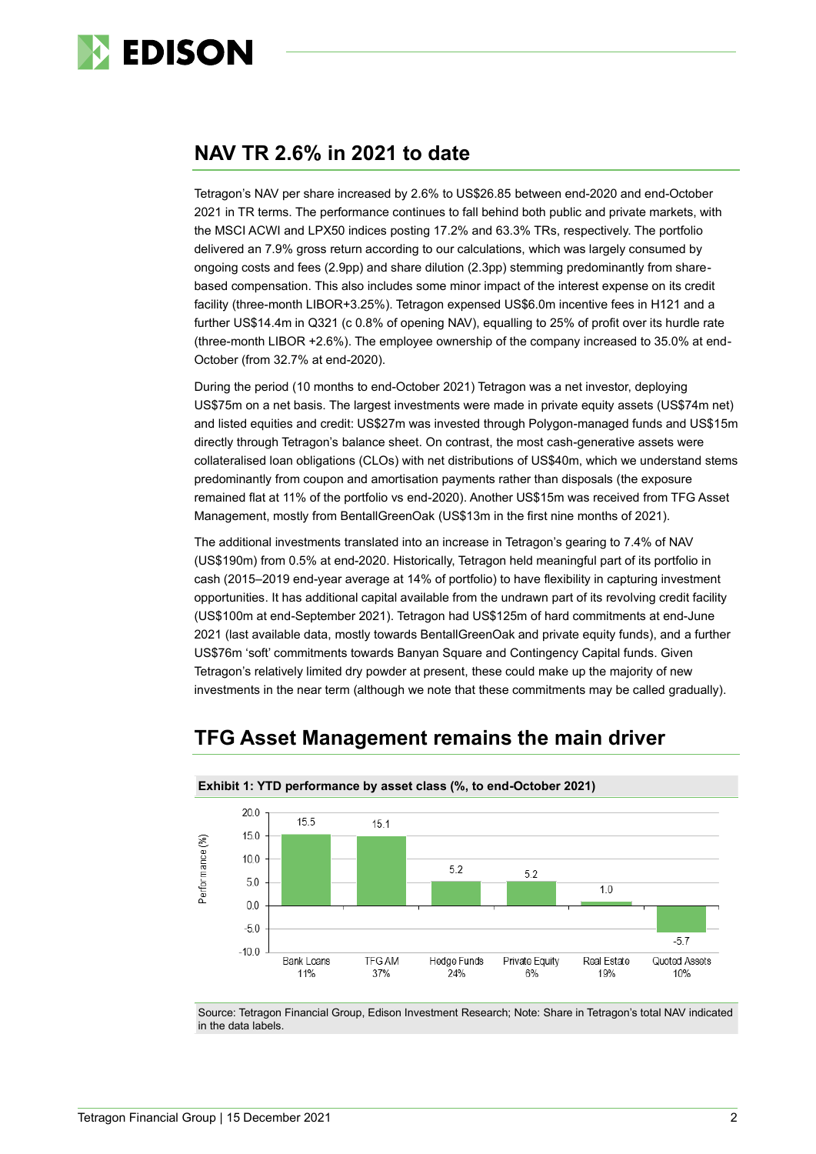

# **NAV TR 2.6% in 2021 to date**

Tetragon's NAV per share increased by 2.6% to US\$26.85 between end-2020 and end-October 2021 in TR terms. The performance continues to fall behind both public and private markets, with the MSCI ACWI and LPX50 indices posting 17.2% and 63.3% TRs, respectively. The portfolio delivered an 7.9% gross return according to our calculations, which was largely consumed by ongoing costs and fees (2.9pp) and share dilution (2.3pp) stemming predominantly from sharebased compensation. This also includes some minor impact of the interest expense on its credit facility (three-month LIBOR+3.25%). Tetragon expensed US\$6.0m incentive fees in H121 and a further US\$14.4m in Q321 (c 0.8% of opening NAV), equalling to 25% of profit over its hurdle rate (three-month LIBOR +2.6%). The employee ownership of the company increased to 35.0% at end-October (from 32.7% at end-2020).

During the period (10 months to end-October 2021) Tetragon was a net investor, deploying US\$75m on a net basis. The largest investments were made in private equity assets (US\$74m net) and listed equities and credit: US\$27m was invested through Polygon-managed funds and US\$15m directly through Tetragon's balance sheet. On contrast, the most cash-generative assets were collateralised loan obligations (CLOs) with net distributions of US\$40m, which we understand stems predominantly from coupon and amortisation payments rather than disposals (the exposure remained flat at 11% of the portfolio vs end-2020). Another US\$15m was received from TFG Asset Management, mostly from BentallGreenOak (US\$13m in the first nine months of 2021).

The additional investments translated into an increase in Tetragon's gearing to 7.4% of NAV (US\$190m) from 0.5% at end-2020. Historically, Tetragon held meaningful part of its portfolio in cash (2015–2019 end-year average at 14% of portfolio) to have flexibility in capturing investment opportunities. It has additional capital available from the undrawn part of its revolving credit facility (US\$100m at end-September 2021). Tetragon had US\$125m of hard commitments at end-June 2021 (last available data, mostly towards BentallGreenOak and private equity funds), and a further US\$76m 'soft' commitments towards Banyan Square and Contingency Capital funds. Given Tetragon's relatively limited dry powder at present, these could make up the majority of new investments in the near term (although we note that these commitments may be called gradually).

#### **Exhibit 1: YTD performance by asset class (%, to end-October 2021)**  $200$  $15.5$  $15.1$ 15.0 Performance (%) 10.0 5.2  $5.2$ 5.0  $10$  $0<sub>0</sub>$  $-5.0$  $-57$  $-10.0$

# **TFG Asset Management remains the main driver**

Source: Tetragon Financial Group, Edison Investment Research; Note: Share in Tetragon's total NAV indicated in the data labels.

Hedge Funds

 $24%$ 

Private Equity

6%

Real Estate

19%

Quoted Assets

 $10%$ 

**Bank Loans** 

11%

**TFG AM** 

37%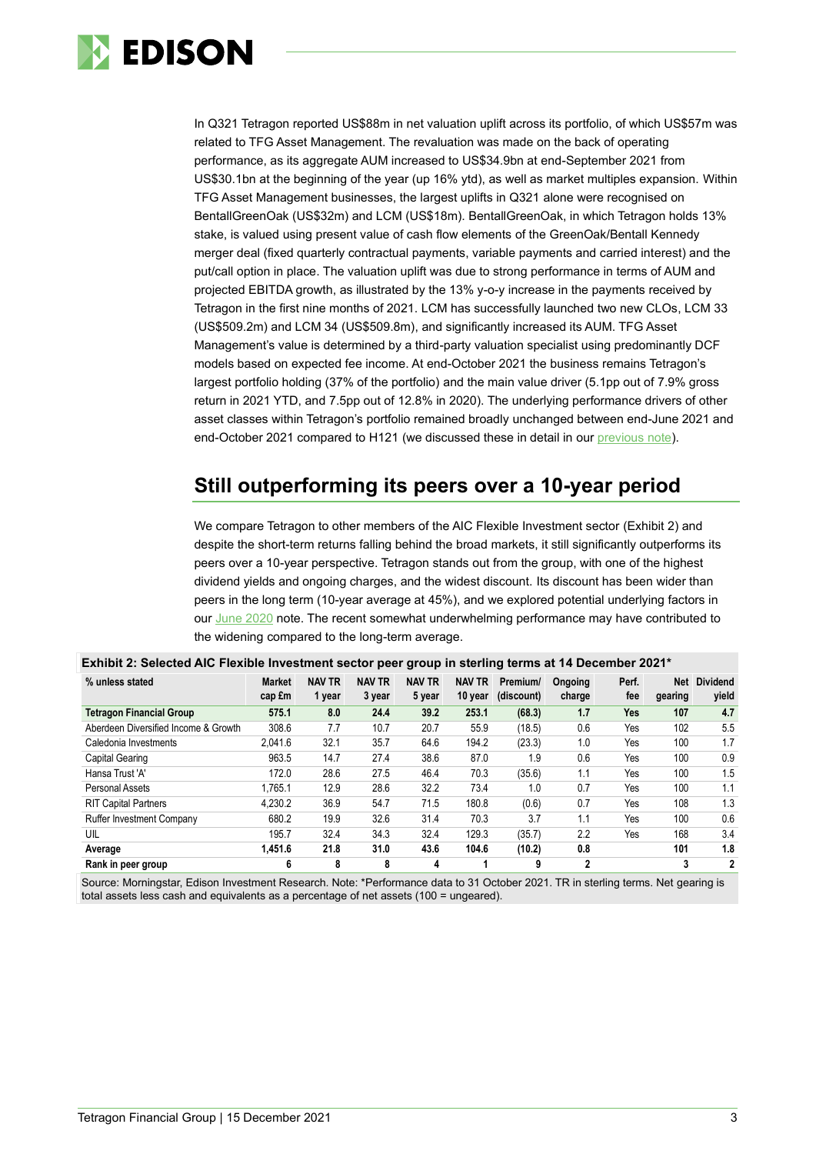

In Q321 Tetragon reported US\$88m in net valuation uplift across its portfolio, of which US\$57m was related to TFG Asset Management. The revaluation was made on the back of operating performance, as its aggregate AUM increased to US\$34.9bn at end-September 2021 from US\$30.1bn at the beginning of the year (up 16% ytd), as well as market multiples expansion. Within TFG Asset Management businesses, the largest uplifts in Q321 alone were recognised on BentallGreenOak (US\$32m) and LCM (US\$18m). BentallGreenOak, in which Tetragon holds 13% stake, is valued using present value of cash flow elements of the GreenOak/Bentall Kennedy merger deal (fixed quarterly contractual payments, variable payments and carried interest) and the put/call option in place. The valuation uplift was due to strong performance in terms of AUM and projected EBITDA growth, as illustrated by the 13% y-o-y increase in the payments received by Tetragon in the first nine months of 2021. LCM has successfully launched two new CLOs, LCM 33 (US\$509.2m) and LCM 34 (US\$509.8m), and significantly increased its AUM. TFG Asset Management's value is determined by a third-party valuation specialist using predominantly DCF models based on expected fee income. At end-October 2021 the business remains Tetragon's largest portfolio holding (37% of the portfolio) and the main value driver (5.1pp out of 7.9% gross return in 2021 YTD, and 7.5pp out of 12.8% in 2020). The underlying performance drivers of other asset classes within Tetragon's portfolio remained broadly unchanged between end-June 2021 and end-October 2021 compared to H121 (we discussed these in detail in our [previous note\)](https://www.edisongroup.com/publication/muted-performance-in-h121/29874).

# **Still outperforming its peers over a 10-year period**

We compare Tetragon to other members of the AIC Flexible Investment sector (Exhibit 2) and despite the short-term returns falling behind the broad markets, it still significantly outperforms its peers over a 10-year perspective. Tetragon stands out from the group, with one of the highest dividend yields and ongoing charges, and the widest discount. Its discount has been wider than peers in the long term (10-year average at 45%), and we explored potential underlying factors in our [June 2020](https://www.edisongroup.com/publication/discount-above-peers-despite-solid-performance/26978/) note. The recent somewhat underwhelming performance may have contributed to the widening compared to the long-term average.

| % unless stated                      | <b>Market</b> | <b>NAV TR</b> | $\mathbf{r}$ .<br><b>NAV TR</b> | --<br><b>NAV TR</b> | <b>NAV TR</b> | $\sim$<br>Premium/ | Ongoing     | Perf. | Net     | <b>Dividend</b> |
|--------------------------------------|---------------|---------------|---------------------------------|---------------------|---------------|--------------------|-------------|-------|---------|-----------------|
|                                      | cap £m        | 1 year        | 3 year                          | 5 year              | 10 year       | (discount)         | charge      | fee   | gearing | yield           |
| <b>Tetragon Financial Group</b>      | 575.1         | 8.0           | 24.4                            | 39.2                | 253.1         | (68.3)             | 1.7         | Yes   | 107     | 4.7             |
| Aberdeen Diversified Income & Growth | 308.6         | 7.7           | 10.7                            | 20.7                | 55.9          | (18.5)             | 0.6         | Yes   | 102     | 5.5             |
| Caledonia Investments                | 2.041.6       | 32.1          | 35.7                            | 64.6                | 194.2         | (23.3)             | 1.0         | Yes   | 100     | 1.7             |
| Capital Gearing                      | 963.5         | 14.7          | 27.4                            | 38.6                | 87.0          | 1.9                | 0.6         | Yes   | 100     | 0.9             |
| Hansa Trust 'A'                      | 172.0         | 28.6          | 27.5                            | 46.4                | 70.3          | (35.6)             | 1.1         | Yes   | 100     | 1.5             |
| Personal Assets                      | 1.765.1       | 12.9          | 28.6                            | 32.2                | 73.4          | 1.0                | 0.7         | Yes   | 100     | 1.1             |
| <b>RIT Capital Partners</b>          | 4.230.2       | 36.9          | 54.7                            | 71.5                | 180.8         | (0.6)              | 0.7         | Yes   | 108     | 1.3             |
| <b>Ruffer Investment Company</b>     | 680.2         | 19.9          | 32.6                            | 31.4                | 70.3          | 3.7                | 1.1         | Yes   | 100     | 0.6             |
| UIL                                  | 195.7         | 32.4          | 34.3                            | 32.4                | 129.3         | (35.7)             | 2.2         | Yes   | 168     | 3.4             |
| Average                              | 1.451.6       | 21.8          | 31.0                            | 43.6                | 104.6         | (10.2)             | 0.8         |       | 101     | 1.8             |
| Rank in peer group                   | 6             | 8             | 8                               | 4                   |               | 9                  | $\mathbf 2$ |       | 3       | 2               |

### **Exhibit 2: Selected AIC Flexible Investment sector peer group in sterling terms at 14 December 2021\***

Source: Morningstar, Edison Investment Research. Note: \*Performance data to 31 October 2021. TR in sterling terms. Net gearing is total assets less cash and equivalents as a percentage of net assets (100 = ungeared).